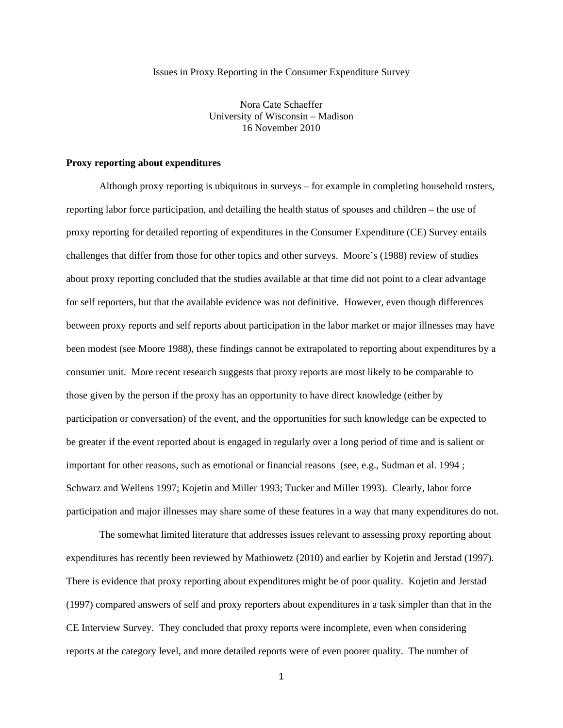Issues in Proxy Reporting in the Consumer Expenditure Survey

Nora Cate Schaeffer University of Wisconsin – Madison 16 November 2010

### **Proxy reporting about expenditures**

 Although proxy reporting is ubiquitous in surveys – for example in completing household rosters, reporting labor force participation, and detailing the health status of spouses and children – the use of proxy reporting for detailed reporting of expenditures in the Consumer Expenditure (CE) Survey entails challenges that differ from those for other topics and other surveys. Moore's (1988) review of studies about proxy reporting concluded that the studies available at that time did not point to a clear advantage for self reporters, but that the available evidence was not definitive. However, even though differences between proxy reports and self reports about participation in the labor market or major illnesses may have been modest (see Moore 1988), these findings cannot be extrapolated to reporting about expenditures by a consumer unit. More recent research suggests that proxy reports are most likely to be comparable to those given by the person if the proxy has an opportunity to have direct knowledge (either by participation or conversation) of the event, and the opportunities for such knowledge can be expected to be greater if the event reported about is engaged in regularly over a long period of time and is salient or important for other reasons, such as emotional or financial reasons (see, e.g., Sudman et al. 1994 ; Schwarz and Wellens 1997; Kojetin and Miller 1993; Tucker and Miller 1993). Clearly, labor force participation and major illnesses may share some of these features in a way that many expenditures do not.

The somewhat limited literature that addresses issues relevant to assessing proxy reporting about expenditures has recently been reviewed by Mathiowetz (2010) and earlier by Kojetin and Jerstad (1997). There is evidence that proxy reporting about expenditures might be of poor quality. Kojetin and Jerstad (1997) compared answers of self and proxy reporters about expenditures in a task simpler than that in the CE Interview Survey. They concluded that proxy reports were incomplete, even when considering reports at the category level, and more detailed reports were of even poorer quality. The number of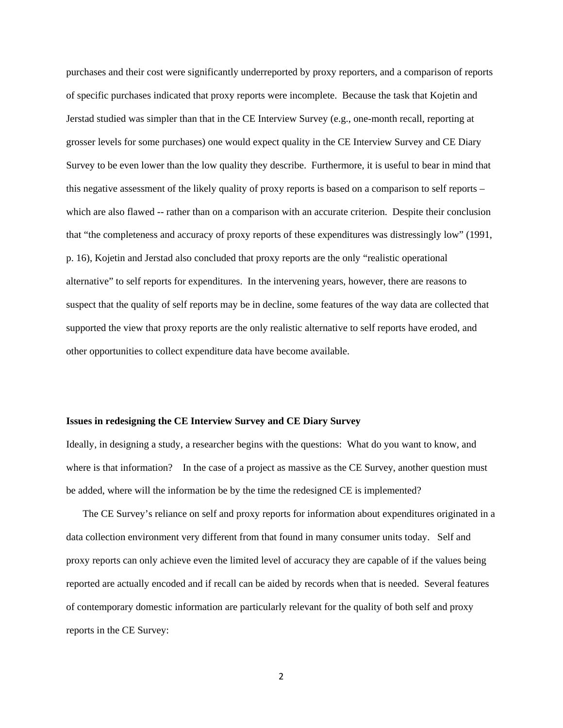purchases and their cost were significantly underreported by proxy reporters, and a comparison of reports of specific purchases indicated that proxy reports were incomplete. Because the task that Kojetin and Jerstad studied was simpler than that in the CE Interview Survey (e.g., one-month recall, reporting at grosser levels for some purchases) one would expect quality in the CE Interview Survey and CE Diary Survey to be even lower than the low quality they describe. Furthermore, it is useful to bear in mind that this negative assessment of the likely quality of proxy reports is based on a comparison to self reports – which are also flawed -- rather than on a comparison with an accurate criterion. Despite their conclusion that "the completeness and accuracy of proxy reports of these expenditures was distressingly low" (1991, p. 16), Kojetin and Jerstad also concluded that proxy reports are the only "realistic operational alternative" to self reports for expenditures. In the intervening years, however, there are reasons to suspect that the quality of self reports may be in decline, some features of the way data are collected that supported the view that proxy reports are the only realistic alternative to self reports have eroded, and other opportunities to collect expenditure data have become available.

#### **Issues in redesigning the CE Interview Survey and CE Diary Survey**

Ideally, in designing a study, a researcher begins with the questions: What do you want to know, and where is that information? In the case of a project as massive as the CE Survey, another question must be added, where will the information be by the time the redesigned CE is implemented?

The CE Survey's reliance on self and proxy reports for information about expenditures originated in a data collection environment very different from that found in many consumer units today. Self and proxy reports can only achieve even the limited level of accuracy they are capable of if the values being reported are actually encoded and if recall can be aided by records when that is needed. Several features of contemporary domestic information are particularly relevant for the quality of both self and proxy reports in the CE Survey: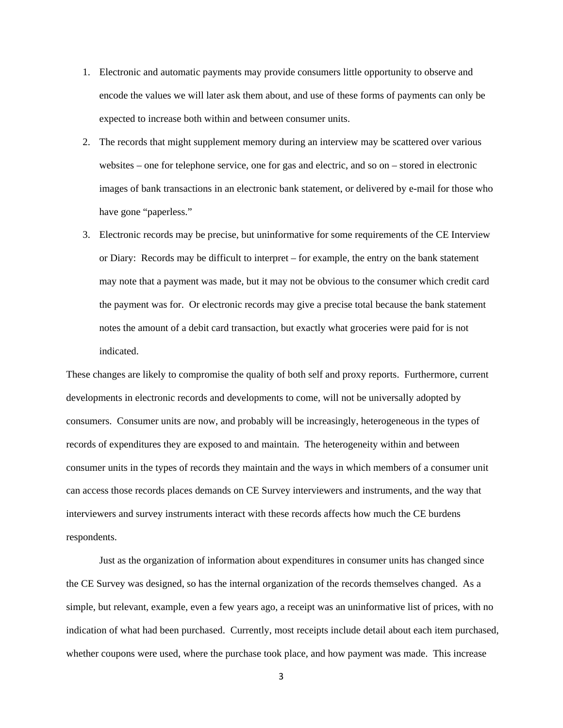- 1. Electronic and automatic payments may provide consumers little opportunity to observe and encode the values we will later ask them about, and use of these forms of payments can only be expected to increase both within and between consumer units.
- 2. The records that might supplement memory during an interview may be scattered over various websites – one for telephone service, one for gas and electric, and so on – stored in electronic images of bank transactions in an electronic bank statement, or delivered by e-mail for those who have gone "paperless."
- 3. Electronic records may be precise, but uninformative for some requirements of the CE Interview or Diary: Records may be difficult to interpret – for example, the entry on the bank statement may note that a payment was made, but it may not be obvious to the consumer which credit card the payment was for. Or electronic records may give a precise total because the bank statement notes the amount of a debit card transaction, but exactly what groceries were paid for is not indicated.

These changes are likely to compromise the quality of both self and proxy reports. Furthermore, current developments in electronic records and developments to come, will not be universally adopted by consumers. Consumer units are now, and probably will be increasingly, heterogeneous in the types of records of expenditures they are exposed to and maintain. The heterogeneity within and between consumer units in the types of records they maintain and the ways in which members of a consumer unit can access those records places demands on CE Survey interviewers and instruments, and the way that interviewers and survey instruments interact with these records affects how much the CE burdens respondents.

 Just as the organization of information about expenditures in consumer units has changed since the CE Survey was designed, so has the internal organization of the records themselves changed. As a simple, but relevant, example, even a few years ago, a receipt was an uninformative list of prices, with no indication of what had been purchased. Currently, most receipts include detail about each item purchased, whether coupons were used, where the purchase took place, and how payment was made. This increase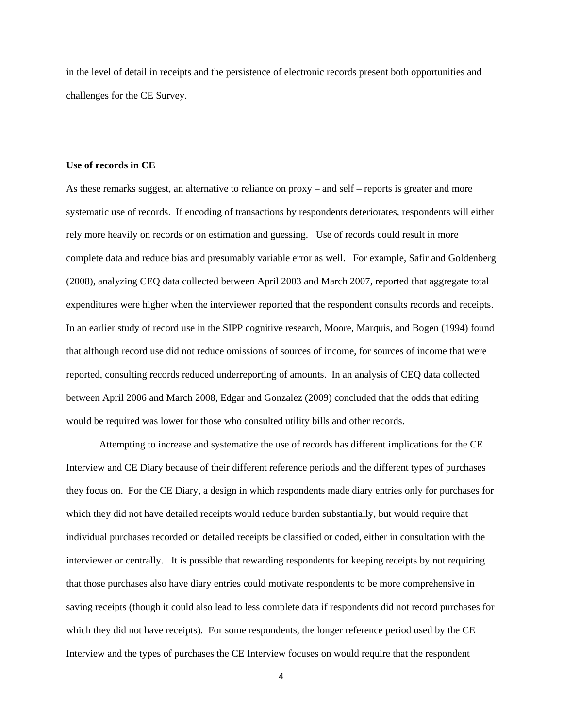in the level of detail in receipts and the persistence of electronic records present both opportunities and challenges for the CE Survey.

### **Use of records in CE**

As these remarks suggest, an alternative to reliance on proxy – and self – reports is greater and more systematic use of records. If encoding of transactions by respondents deteriorates, respondents will either rely more heavily on records or on estimation and guessing. Use of records could result in more complete data and reduce bias and presumably variable error as well. For example, Safir and Goldenberg (2008), analyzing CEQ data collected between April 2003 and March 2007, reported that aggregate total expenditures were higher when the interviewer reported that the respondent consults records and receipts. In an earlier study of record use in the SIPP cognitive research, Moore, Marquis, and Bogen (1994) found that although record use did not reduce omissions of sources of income, for sources of income that were reported, consulting records reduced underreporting of amounts. In an analysis of CEQ data collected between April 2006 and March 2008, Edgar and Gonzalez (2009) concluded that the odds that editing would be required was lower for those who consulted utility bills and other records.

 Attempting to increase and systematize the use of records has different implications for the CE Interview and CE Diary because of their different reference periods and the different types of purchases they focus on. For the CE Diary, a design in which respondents made diary entries only for purchases for which they did not have detailed receipts would reduce burden substantially, but would require that individual purchases recorded on detailed receipts be classified or coded, either in consultation with the interviewer or centrally. It is possible that rewarding respondents for keeping receipts by not requiring that those purchases also have diary entries could motivate respondents to be more comprehensive in saving receipts (though it could also lead to less complete data if respondents did not record purchases for which they did not have receipts). For some respondents, the longer reference period used by the CE Interview and the types of purchases the CE Interview focuses on would require that the respondent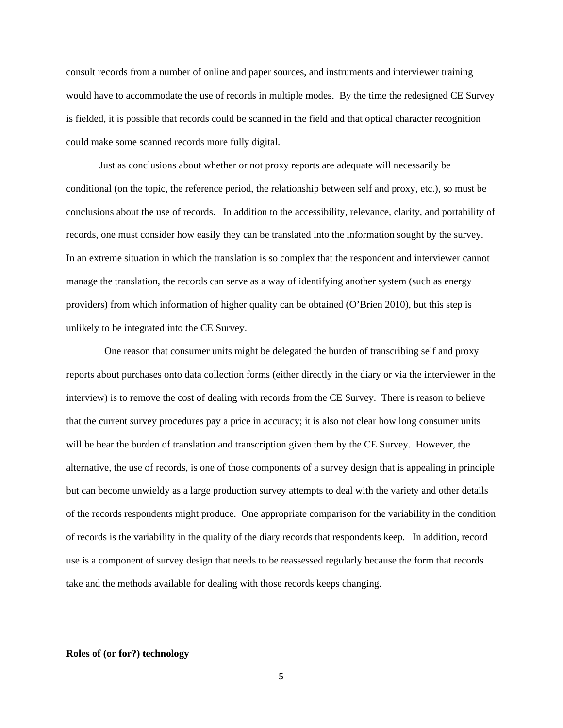consult records from a number of online and paper sources, and instruments and interviewer training would have to accommodate the use of records in multiple modes. By the time the redesigned CE Survey is fielded, it is possible that records could be scanned in the field and that optical character recognition could make some scanned records more fully digital.

Just as conclusions about whether or not proxy reports are adequate will necessarily be conditional (on the topic, the reference period, the relationship between self and proxy, etc.), so must be conclusions about the use of records. In addition to the accessibility, relevance, clarity, and portability of records, one must consider how easily they can be translated into the information sought by the survey. In an extreme situation in which the translation is so complex that the respondent and interviewer cannot manage the translation, the records can serve as a way of identifying another system (such as energy providers) from which information of higher quality can be obtained (O'Brien 2010), but this step is unlikely to be integrated into the CE Survey.

 One reason that consumer units might be delegated the burden of transcribing self and proxy reports about purchases onto data collection forms (either directly in the diary or via the interviewer in the interview) is to remove the cost of dealing with records from the CE Survey. There is reason to believe that the current survey procedures pay a price in accuracy; it is also not clear how long consumer units will be bear the burden of translation and transcription given them by the CE Survey. However, the alternative, the use of records, is one of those components of a survey design that is appealing in principle but can become unwieldy as a large production survey attempts to deal with the variety and other details of the records respondents might produce. One appropriate comparison for the variability in the condition of records is the variability in the quality of the diary records that respondents keep. In addition, record use is a component of survey design that needs to be reassessed regularly because the form that records take and the methods available for dealing with those records keeps changing.

## **Roles of (or for?) technology**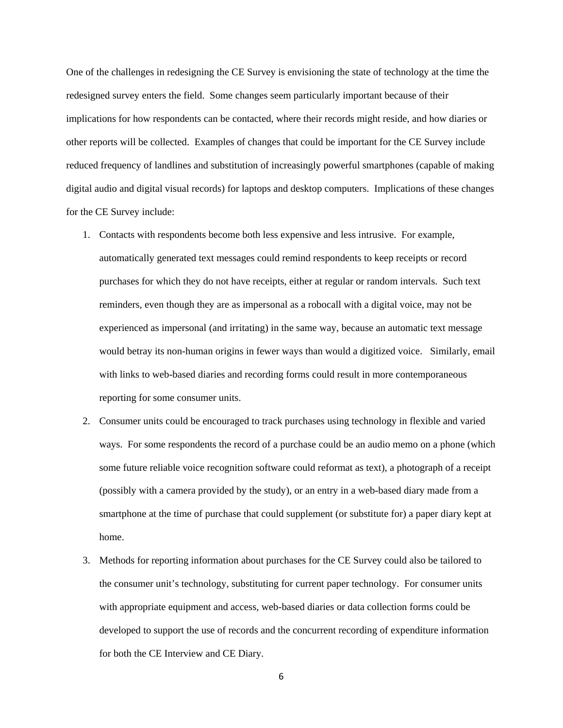One of the challenges in redesigning the CE Survey is envisioning the state of technology at the time the redesigned survey enters the field. Some changes seem particularly important because of their implications for how respondents can be contacted, where their records might reside, and how diaries or other reports will be collected. Examples of changes that could be important for the CE Survey include reduced frequency of landlines and substitution of increasingly powerful smartphones (capable of making digital audio and digital visual records) for laptops and desktop computers. Implications of these changes for the CE Survey include:

- 1. Contacts with respondents become both less expensive and less intrusive. For example, automatically generated text messages could remind respondents to keep receipts or record purchases for which they do not have receipts, either at regular or random intervals. Such text reminders, even though they are as impersonal as a robocall with a digital voice, may not be experienced as impersonal (and irritating) in the same way, because an automatic text message would betray its non-human origins in fewer ways than would a digitized voice. Similarly, email with links to web-based diaries and recording forms could result in more contemporaneous reporting for some consumer units.
- 2. Consumer units could be encouraged to track purchases using technology in flexible and varied ways. For some respondents the record of a purchase could be an audio memo on a phone (which some future reliable voice recognition software could reformat as text), a photograph of a receipt (possibly with a camera provided by the study), or an entry in a web-based diary made from a smartphone at the time of purchase that could supplement (or substitute for) a paper diary kept at home.
- 3. Methods for reporting information about purchases for the CE Survey could also be tailored to the consumer unit's technology, substituting for current paper technology. For consumer units with appropriate equipment and access, web-based diaries or data collection forms could be developed to support the use of records and the concurrent recording of expenditure information for both the CE Interview and CE Diary.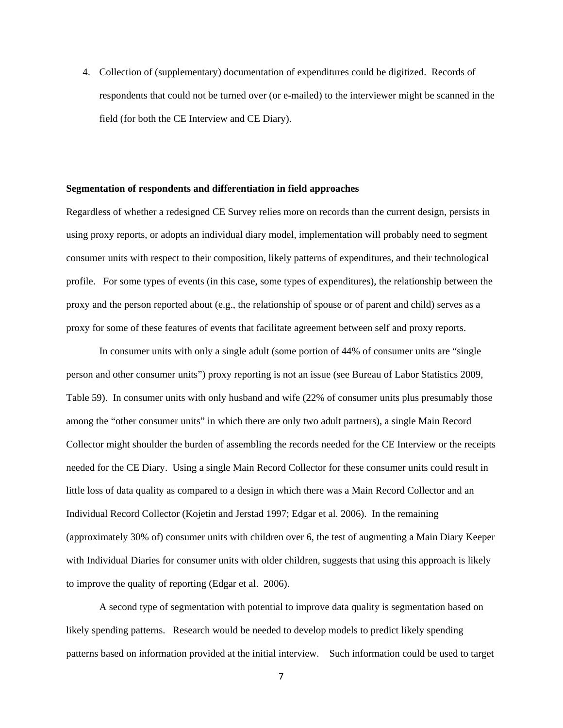4. Collection of (supplementary) documentation of expenditures could be digitized. Records of respondents that could not be turned over (or e-mailed) to the interviewer might be scanned in the field (for both the CE Interview and CE Diary).

#### **Segmentation of respondents and differentiation in field approaches**

Regardless of whether a redesigned CE Survey relies more on records than the current design, persists in using proxy reports, or adopts an individual diary model, implementation will probably need to segment consumer units with respect to their composition, likely patterns of expenditures, and their technological profile. For some types of events (in this case, some types of expenditures), the relationship between the proxy and the person reported about (e.g., the relationship of spouse or of parent and child) serves as a proxy for some of these features of events that facilitate agreement between self and proxy reports.

 In consumer units with only a single adult (some portion of 44% of consumer units are "single person and other consumer units") proxy reporting is not an issue (see Bureau of Labor Statistics 2009, Table 59). In consumer units with only husband and wife (22% of consumer units plus presumably those among the "other consumer units" in which there are only two adult partners), a single Main Record Collector might shoulder the burden of assembling the records needed for the CE Interview or the receipts needed for the CE Diary. Using a single Main Record Collector for these consumer units could result in little loss of data quality as compared to a design in which there was a Main Record Collector and an Individual Record Collector (Kojetin and Jerstad 1997; Edgar et al. 2006). In the remaining (approximately 30% of) consumer units with children over 6, the test of augmenting a Main Diary Keeper with Individual Diaries for consumer units with older children, suggests that using this approach is likely to improve the quality of reporting (Edgar et al. 2006).

 A second type of segmentation with potential to improve data quality is segmentation based on likely spending patterns. Research would be needed to develop models to predict likely spending patterns based on information provided at the initial interview. Such information could be used to target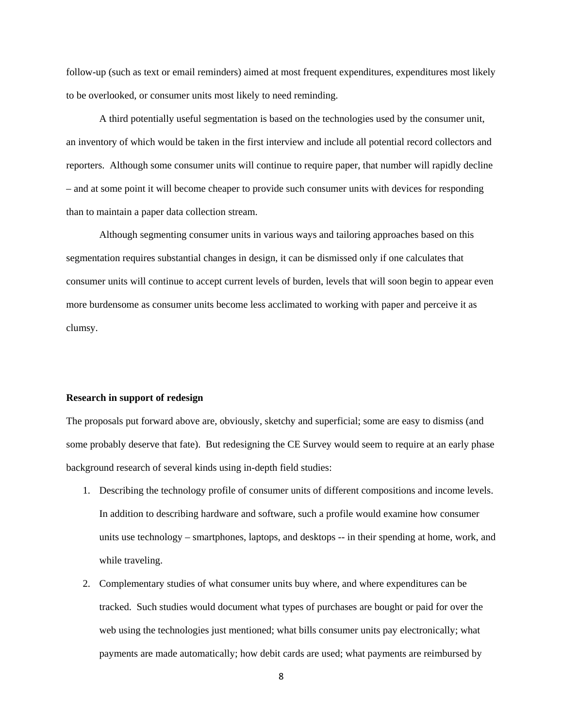follow-up (such as text or email reminders) aimed at most frequent expenditures, expenditures most likely to be overlooked, or consumer units most likely to need reminding.

 A third potentially useful segmentation is based on the technologies used by the consumer unit, an inventory of which would be taken in the first interview and include all potential record collectors and reporters. Although some consumer units will continue to require paper, that number will rapidly decline – and at some point it will become cheaper to provide such consumer units with devices for responding than to maintain a paper data collection stream.

Although segmenting consumer units in various ways and tailoring approaches based on this segmentation requires substantial changes in design, it can be dismissed only if one calculates that consumer units will continue to accept current levels of burden, levels that will soon begin to appear even more burdensome as consumer units become less acclimated to working with paper and perceive it as clumsy.

## **Research in support of redesign**

The proposals put forward above are, obviously, sketchy and superficial; some are easy to dismiss (and some probably deserve that fate). But redesigning the CE Survey would seem to require at an early phase background research of several kinds using in-depth field studies:

- 1. Describing the technology profile of consumer units of different compositions and income levels. In addition to describing hardware and software, such a profile would examine how consumer units use technology – smartphones, laptops, and desktops -- in their spending at home, work, and while traveling.
- 2. Complementary studies of what consumer units buy where, and where expenditures can be tracked. Such studies would document what types of purchases are bought or paid for over the web using the technologies just mentioned; what bills consumer units pay electronically; what payments are made automatically; how debit cards are used; what payments are reimbursed by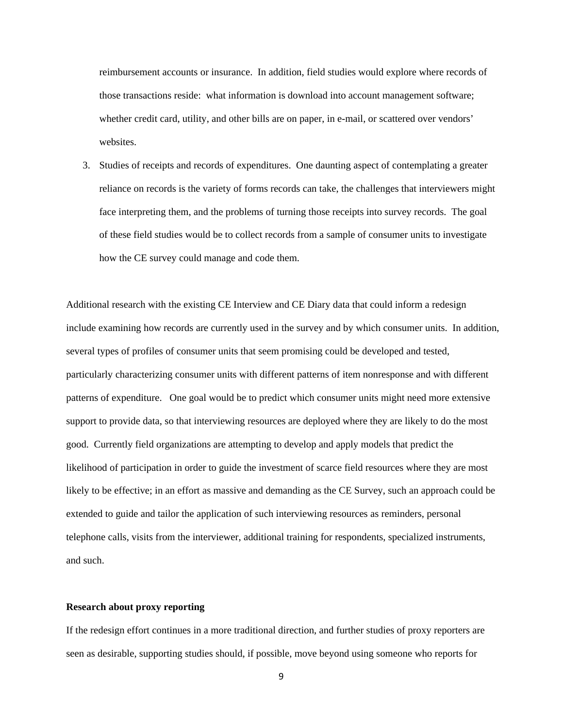reimbursement accounts or insurance. In addition, field studies would explore where records of those transactions reside: what information is download into account management software; whether credit card, utility, and other bills are on paper, in e-mail, or scattered over vendors' websites.

3. Studies of receipts and records of expenditures. One daunting aspect of contemplating a greater reliance on records is the variety of forms records can take, the challenges that interviewers might face interpreting them, and the problems of turning those receipts into survey records. The goal of these field studies would be to collect records from a sample of consumer units to investigate how the CE survey could manage and code them.

Additional research with the existing CE Interview and CE Diary data that could inform a redesign include examining how records are currently used in the survey and by which consumer units. In addition, several types of profiles of consumer units that seem promising could be developed and tested, particularly characterizing consumer units with different patterns of item nonresponse and with different patterns of expenditure. One goal would be to predict which consumer units might need more extensive support to provide data, so that interviewing resources are deployed where they are likely to do the most good. Currently field organizations are attempting to develop and apply models that predict the likelihood of participation in order to guide the investment of scarce field resources where they are most likely to be effective; in an effort as massive and demanding as the CE Survey, such an approach could be extended to guide and tailor the application of such interviewing resources as reminders, personal telephone calls, visits from the interviewer, additional training for respondents, specialized instruments, and such.

# **Research about proxy reporting**

If the redesign effort continues in a more traditional direction, and further studies of proxy reporters are seen as desirable, supporting studies should, if possible, move beyond using someone who reports for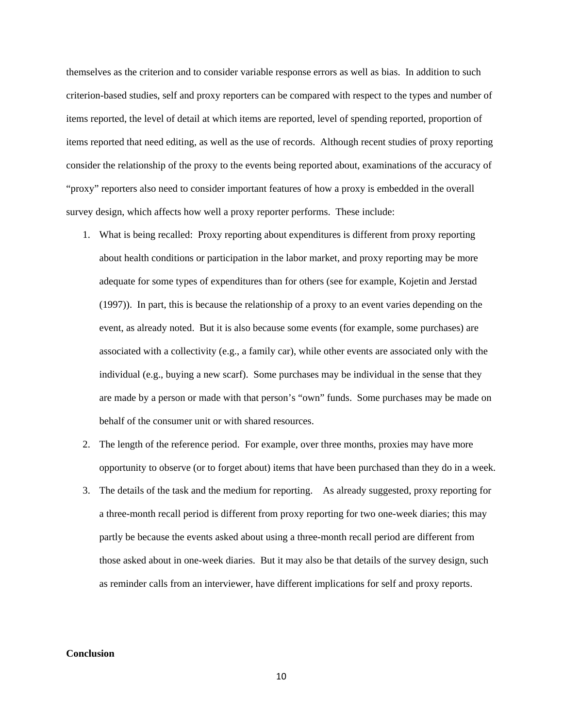themselves as the criterion and to consider variable response errors as well as bias. In addition to such criterion-based studies, self and proxy reporters can be compared with respect to the types and number of items reported, the level of detail at which items are reported, level of spending reported, proportion of items reported that need editing, as well as the use of records. Although recent studies of proxy reporting consider the relationship of the proxy to the events being reported about, examinations of the accuracy of "proxy" reporters also need to consider important features of how a proxy is embedded in the overall survey design, which affects how well a proxy reporter performs. These include:

- 1. What is being recalled: Proxy reporting about expenditures is different from proxy reporting about health conditions or participation in the labor market, and proxy reporting may be more adequate for some types of expenditures than for others (see for example, Kojetin and Jerstad (1997)). In part, this is because the relationship of a proxy to an event varies depending on the event, as already noted. But it is also because some events (for example, some purchases) are associated with a collectivity (e.g., a family car), while other events are associated only with the individual (e.g., buying a new scarf). Some purchases may be individual in the sense that they are made by a person or made with that person's "own" funds. Some purchases may be made on behalf of the consumer unit or with shared resources.
- 2. The length of the reference period. For example, over three months, proxies may have more opportunity to observe (or to forget about) items that have been purchased than they do in a week.
- 3. The details of the task and the medium for reporting. As already suggested, proxy reporting for a three-month recall period is different from proxy reporting for two one-week diaries; this may partly be because the events asked about using a three-month recall period are different from those asked about in one-week diaries. But it may also be that details of the survey design, such as reminder calls from an interviewer, have different implications for self and proxy reports.

# **Conclusion**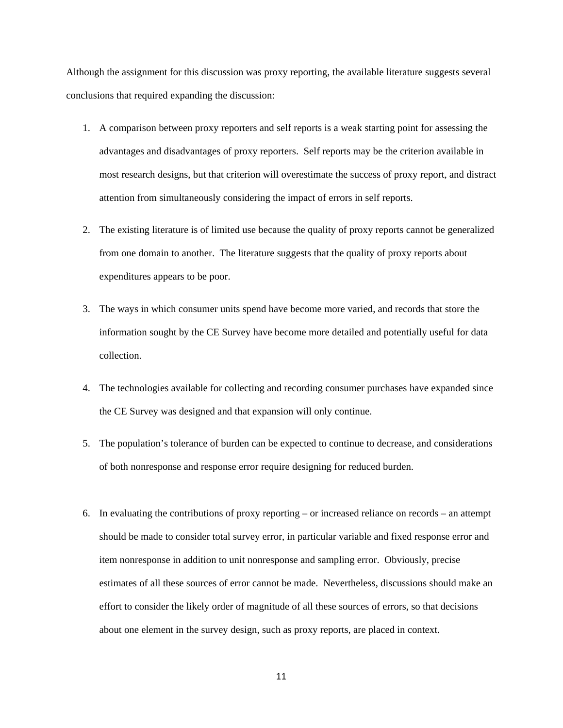Although the assignment for this discussion was proxy reporting, the available literature suggests several conclusions that required expanding the discussion:

- 1. A comparison between proxy reporters and self reports is a weak starting point for assessing the advantages and disadvantages of proxy reporters. Self reports may be the criterion available in most research designs, but that criterion will overestimate the success of proxy report, and distract attention from simultaneously considering the impact of errors in self reports.
- 2. The existing literature is of limited use because the quality of proxy reports cannot be generalized from one domain to another. The literature suggests that the quality of proxy reports about expenditures appears to be poor.
- 3. The ways in which consumer units spend have become more varied, and records that store the information sought by the CE Survey have become more detailed and potentially useful for data collection.
- 4. The technologies available for collecting and recording consumer purchases have expanded since the CE Survey was designed and that expansion will only continue.
- 5. The population's tolerance of burden can be expected to continue to decrease, and considerations of both nonresponse and response error require designing for reduced burden.
- 6. In evaluating the contributions of proxy reporting or increased reliance on records an attempt should be made to consider total survey error, in particular variable and fixed response error and item nonresponse in addition to unit nonresponse and sampling error. Obviously, precise estimates of all these sources of error cannot be made. Nevertheless, discussions should make an effort to consider the likely order of magnitude of all these sources of errors, so that decisions about one element in the survey design, such as proxy reports, are placed in context.